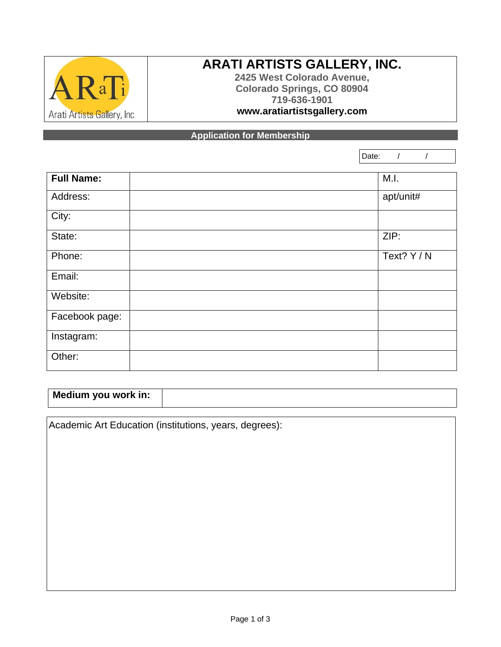

## **ARATI ARTISTS GALLERY, INC.**

**2425 West Colorado Avenue, Colorado Springs, CO 80904 719-636-1901 www.aratiartistsgallery.com**

**Application for Membership**

Date: / /

| <b>Full Name:</b> | M.I.        |
|-------------------|-------------|
| Address:          | apt/unit#   |
| City:             |             |
| State:            | ZIP:        |
| Phone:            | Text? Y / N |
| Email:            |             |
| Website:          |             |
| Facebook page:    |             |
| Instagram:        |             |
| Other:            |             |

| Medium you work in: |  |
|---------------------|--|
|                     |  |

Academic Art Education (institutions, years, degrees):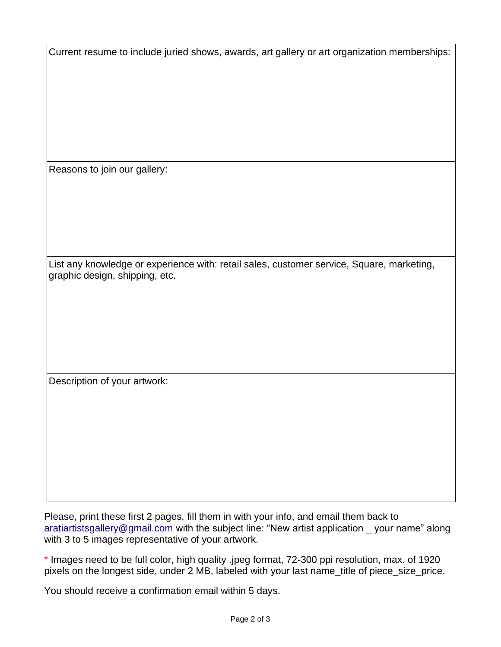Current resume to include juried shows, awards, art gallery or art organization memberships:

Reasons to join our gallery:

List any knowledge or experience with: retail sales, customer service, Square, marketing, graphic design, shipping, etc.

Description of your artwork:

Please, print these first 2 pages, fill them in with your info, and email them back to [aratiartistsgallery@gmail.com](mailto:aratiartistsgallery@gmail.com) with the subject line: "New artist application your name" along with 3 to 5 images representative of your artwork.

\* Images need to be full color, high quality .jpeg format, 72-300 ppi resolution, max. of 1920 pixels on the longest side, under 2 MB, labeled with your last name title of piece size price.

You should receive a confirmation email within 5 days.